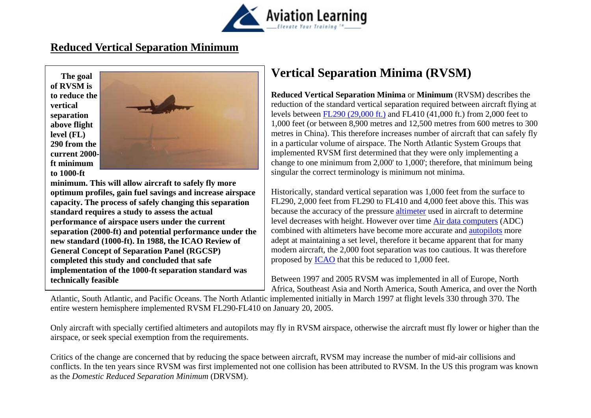

### **Reduced Vertical Separation Minimum**

 **The goal of RVSM is to reduce the vertical separation above flight level (FL) 290 from the current 2000ft minimum to 1000-ft** 



**minimum. This will allow aircraft to safely fly more optimum profiles, gain fuel savings and increase airspace capacity. The process of safely changing this separation standard requires a study to assess the actual performance of airspace users under the current separation (2000-ft) and potential performance under the new standard (1000-ft). In 1988, the ICAO Review of General Concept of Separation Panel (RGCSP) completed this study and concluded that safe implementation of the 1000-ft separation standard was technically feasible** 

# **Vertical Separation Minima (RVSM)**

**Reduced Vertical Separation Minima** or **Minimum** (RVSM) describes the reduction of the standard vertical separation required between aircraft flying at levels between FL290 (29,000 ft.) and FL410 (41,000 ft.) from 2,000 feet to 1,000 feet (or between 8,900 metres and 12,500 metres from 600 metres to 300 metres in China). This therefore increases number of aircraft that can safely fly in a particular volume of airspace. The North Atlantic System Groups that implemented RVSM first determined that they were only implementing a change to one minimum from 2,000' to 1,000'; therefore, that minimum being singular the correct terminology is minimum not minima.

Historically, standard vertical separation was 1,000 feet from the surface to FL290, 2,000 feet from FL290 to FL410 and 4,000 feet above this. This was because the accuracy of the pressure altimeter used in aircraft to determine level decreases with height. However over time Air data computers (ADC) combined with altimeters have become more accurate and autopilots more adept at maintaining a set level, therefore it became apparent that for many modern aircraft, the 2,000 foot separation was too cautious. It was therefore proposed by ICAO that this be reduced to 1,000 feet.

Between 1997 and 2005 RVSM was implemented in all of Europe, North Africa, Southeast Asia and North America, South America, and over the North

Atlantic, South Atlantic, and Pacific Oceans. The North Atlantic implemented initially in March 1997 at flight levels 330 through 370. The entire western hemisphere implemented RVSM FL290-FL410 on January 20, 2005.

Only aircraft with specially certified altimeters and autopilots may fly in RVSM airspace, otherwise the aircraft must fly lower or higher than the airspace, or seek special exemption from the requirements.

Critics of the change are concerned that by reducing the space between aircraft, RVSM may increase the number of mid-air collisions and conflicts. In the ten years since RVSM was first implemented not one collision has been attributed to RVSM. In the US this program was known as the *Domestic Reduced Separation Minimum* (DRVSM).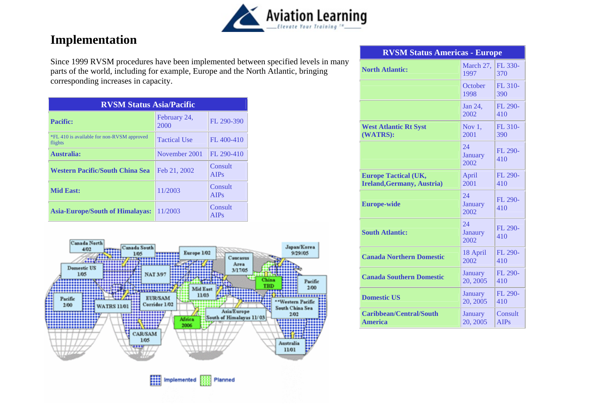

## **Implementation**

Since 1999 RVSM procedures have been implemented between specified levels in many parts of the world, including for example, Europe and the North Atlantic, bringing corresponding increases in capacity.

| <b>RVSM Status Asia/Pacific</b>                       |                      |                        |  |
|-------------------------------------------------------|----------------------|------------------------|--|
| Pacific:                                              | February 24,<br>2000 | FL 290-390             |  |
| *FL 410 is available for non-RVSM approved<br>flights | <b>Tactical Use</b>  | FL 400-410             |  |
| <b>Australia:</b>                                     | November 2001        | FL 290-410             |  |
| Western Pacific/South China Sea                       | Feb 21, 2002         | Consult<br>AIPs        |  |
| <b>Mid East:</b>                                      | 11/2003              | Consult<br><b>AIPs</b> |  |
| <b>Asia-Europe/South of Himalayas:</b>                | 11/2003              | Consult<br>AIPs        |  |



| <b>RVSM Status Americas - Europe</b>                             |                              |                        |  |
|------------------------------------------------------------------|------------------------------|------------------------|--|
| <b>North Atlantic:</b>                                           | March 27,<br>1997            | FL 330-<br>370         |  |
|                                                                  | October<br>1998              | FL 310-<br>390         |  |
|                                                                  | Jan 24,<br>2002              | FL 290-<br>410         |  |
| <b>West Atlantic Rt Syst</b><br>(WATRS):                         | Nov $1,$<br>2001             | FL 310-<br>390         |  |
|                                                                  | 24<br>January<br>2002        | FL 290-<br>410         |  |
| <b>Europe Tactical (UK,</b><br><b>Ireland, Germany, Austria)</b> | April<br>2001                | FL 290-<br>410         |  |
| <b>Europe-wide</b>                                               | 24<br><b>January</b><br>2002 | FL 290-<br>410         |  |
| <b>South Atlantic:</b>                                           | 24<br>Janaury<br>2002        | FL 290-<br>410         |  |
| <b>Canada Northern Domestic</b>                                  | 18 April<br>2002             | FL 290-<br>410         |  |
| <b>Canada Southern Domestic</b>                                  | <b>January</b><br>20, 2005   | FL 290-<br>410         |  |
| <b>Domestic US</b>                                               | January<br>20, 2005          | FL 290-<br>410         |  |
| <b>Caribbean/Central/South</b><br><b>America</b>                 | January<br>20, 2005          | Consult<br><b>AIPs</b> |  |